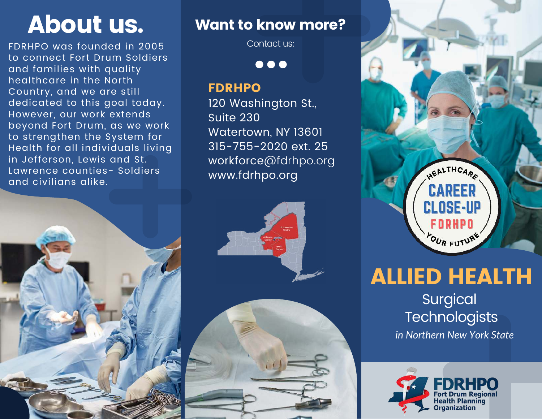FDRHPO was founded in 2005 to connect Fort Drum Soldiers and families with quality healthcare in the North Country, and we are still dedicated to this goal today. However, our work extends beyond Fort Drum, as we work to strengthen the System for Health for all individuals living in Jefferson, Lewis and St. Lawrence counties- Soldiers and civilians alike.

# About us. Want to know more?

Contact us:

 $\bullet\bullet\bullet$ 

#### FDRHPO

120 Washington St., Suite 230 Watertown, NY 13601 315-755-2020 ext. 25 workforce@fdrhpo.org www.fdrhpo.org





# ALLIED HEALTH

Surgical **Technologists** *in Northern New York State*